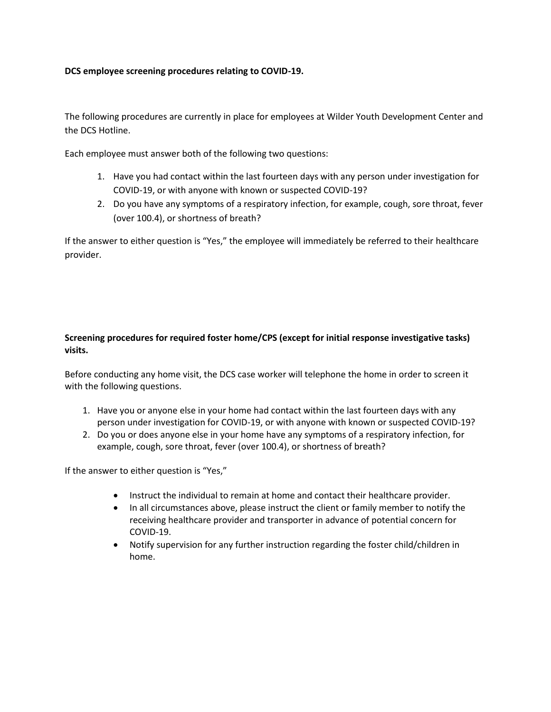## **DCS employee screening procedures relating to COVID-19.**

The following procedures are currently in place for employees at Wilder Youth Development Center and the DCS Hotline.

Each employee must answer both of the following two questions:

- 1. Have you had contact within the last fourteen days with any person under investigation for COVID-19, or with anyone with known or suspected COVID-19?
- 2. Do you have any symptoms of a respiratory infection, for example, cough, sore throat, fever (over 100.4), or shortness of breath?

If the answer to either question is "Yes," the employee will immediately be referred to their healthcare provider.

## **Screening procedures for required foster home/CPS (except for initial response investigative tasks) visits.**

Before conducting any home visit, the DCS case worker will telephone the home in order to screen it with the following questions.

- 1. Have you or anyone else in your home had contact within the last fourteen days with any person under investigation for COVID-19, or with anyone with known or suspected COVID-19?
- 2. Do you or does anyone else in your home have any symptoms of a respiratory infection, for example, cough, sore throat, fever (over 100.4), or shortness of breath?

If the answer to either question is "Yes,"

- Instruct the individual to remain at home and contact their healthcare provider.
- In all circumstances above, please instruct the client or family member to notify the receiving healthcare provider and transporter in advance of potential concern for COVID-19.
- Notify supervision for any further instruction regarding the foster child/children in home.